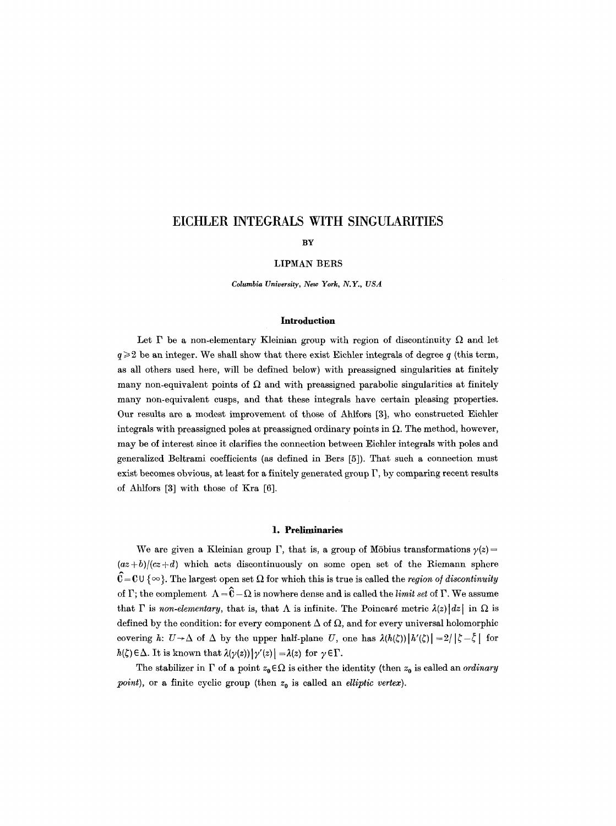# **EICHLER INTEGRALS WITH SINGULARITIES**

#### **BY**

## LIPMAN BERS

*Columbia University, New York, N.Y., USA* 

# **Introduction**

Let  $\Gamma$  be a non-elementary Kleinian group with region of discontinuity  $\Omega$  and let  $q \geqslant 2$  be an integer. We shall show that there exist Eichler integrals of degree q (this term, as all others used here, will be defined below) with preassigned singularities at finitely many non-equivalent points of  $\Omega$  and with preassigned parabolic singularities at finitely many non-equivalent cusps, and that these integrals have certain pleasing properties. Our results are a modest improvement of those of Ahlfors [3], who constructed Eichler integrals with preassigned poles at preassigned ordinary points in  $\Omega$ . The method, however, may be of interest since it clarifies the connection between Eichler integrals with poles and generalized Beltrami coefficients (as defined in Bers [5]). That such a connection must exist becomes obvious, at least for a finitely generated group  $\Gamma$ , by comparing recent results of Ahlfors [3] with those of Kra [6].

## 1. Preliminaries

We are given a Kleinian group  $\Gamma$ , that is, a group of Möbius transformations  $\gamma(z)=$  $\frac{a}{b}/(cz+d)$  which acts discontinuously on some open set of the Riemann sphere  $\hat{C} = C \cup \{\infty\}$ . The largest open set  $\Omega$  for which this is true is called the *region of discontinuity* of  $\Gamma$ ; the complement  $\Lambda = \hat{C} - \Omega$  is nowhere dense and is called the *limit set* of  $\Gamma$ . We assume that  $\Gamma$  is *non-elementary*, that is, that  $\Lambda$  is infinite. The Poincaré metric  $\lambda(z)|dz|$  in  $\Omega$  is defined by the condition: for every component  $\Delta$  of  $\Omega$ , and for every universal holomorphic covering h:  $U\rightarrow\Delta$  of  $\Delta$  by the upper half-plane U, one has  $\lambda(h(\zeta))|h'(\zeta)|=2/|\zeta-\bar{\zeta}|$  for  $h(\zeta) \in \Delta$ . It is known that  $\lambda(\gamma(z))|\gamma'(z)| = \lambda(z)$  for  $\gamma \in \Gamma$ .

The stabilizer in  $\Gamma$  of a point  $z_0 \in \Omega$  is either the identity (then  $z_0$  is called an *ordinary point*), or a finite cyclic group (then  $z_0$  is called an *elliptic vertex*).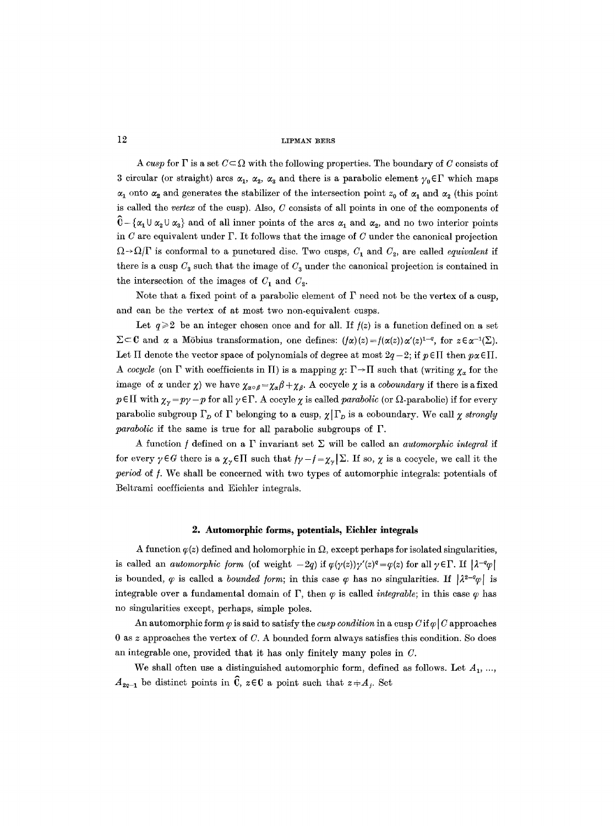A cusp for  $\Gamma$  is a set  $C \subset \Omega$  with the following properties. The boundary of C consists of 3 circular (or straight) arcs  $\alpha_1$ ,  $\alpha_2$ ,  $\alpha_3$  and there is a parabolic element  $\gamma_0 \in \Gamma$  which maps  $\alpha_1$  onto  $\alpha_2$  and generates the stabilizer of the intersection point  $z_0$  of  $\alpha_1$  and  $\alpha_2$  (this point is called the *vertex* of the cusp). Also, C consists of all points in one of the components of  $C - {\alpha_1 \cup \alpha_2 \cup \alpha_3}$  and of all inner points of the arcs  $\alpha_1$  and  $\alpha_2$ , and no two interior points in C are equivalent under  $\Gamma$ . It follows that the image of C under the canonical projection  $\Omega \rightarrow \Omega/\Gamma$  is conformal to a punctured disc. Two cusps,  $C_1$  and  $C_2$ , are called *equivalent* if there is a cusp  $C_3$  such that the image of  $C_3$  under the canonical projection is contained in the intersection of the images of  $C_1$  and  $C_2$ .

Note that a fixed point of a parabolic element of  $\Gamma$  need not be the vertex of a cusp, and can be the vertex of at most two non-equivalent cusps.

Let  $q \ge 2$  be an integer chosen once and for all. If  $f(z)$  is a function defined on a set  $\Sigma \subset \mathbb{C}$  and  $\alpha$  a Möbius transformation, one defines:  $(f\alpha)(z)=f(\alpha(z))\alpha'(z)^{1-q}$ , for  $z \in \alpha^{-1}(\Sigma)$ . Let  $\Pi$  denote the vector space of polynomials of degree at most  $2q-2$ ; if  $p \in \Pi$  then  $p \alpha \in \Pi$ . *A cocycle* (on  $\Gamma$  with coefficients in  $\Pi$ ) is a mapping  $\chi: \Gamma \to \Pi$  such that (writing  $\chi_{\alpha}$  for the image of  $\alpha$  under  $\chi$ ) we have  $\chi_{\alpha \circ \beta} = \chi_{\alpha} \beta + \chi_{\beta}$ . A cocycle  $\chi$  is a *coboundary* if there is a fixed  $p \in \Pi$  with  $\chi_{\gamma} = p\gamma - p$  for all  $\gamma \in \Gamma$ . A cocyle  $\chi$  is called *parabolic* (or  $\Omega$ -parabolic) if for every parabolic subgroup  $\Gamma_D$  of  $\Gamma$  belonging to a cusp,  $\chi | \Gamma_D$  is a coboundary. We call  $\chi$  *strongly parabolic* if the same is true for all parabolic subgroups of F.

A function f defined on a  $\Gamma$  invariant set  $\Sigma$  will be called an *automorphic integral* if for every  $\gamma \in G$  there is a  $\chi_{\gamma} \in \Pi$  such that  $f\gamma - f = \chi_{\gamma} \Sigma$ . If so,  $\chi$  is a cocycle, we call it the *period* of *f*. We shall be concerned with two types of automorphic integrals: potentials of Beltrami coefficients and Eichler integrals.

#### **2. Automorphic forms, potentials, Eichler integrals**

A function  $\varphi(z)$  defined and holomorphic in  $\Omega$ , except perhaps for isolated singularities, is called an *automorphic form* (of weight  $-2q$ ) if  $\varphi(\gamma(z))\gamma'(z)^q = \varphi(z)$  for all  $\gamma \in \Gamma$ . If  $|\lambda^{-q} \varphi|$ is bounded,  $\varphi$  is called a *bounded form*; in this case  $\varphi$  has no singularities. If  $|\lambda^{2-q}\varphi|$  is integrable over a fundamental domain of  $\Gamma$ , then  $\varphi$  is called *integrable*; in this case  $\varphi$  has no singularities except, perhaps, simple poles.

An automorphic form  $\varphi$  is said to satisfy the *cusp condition* in a cusp  $C$  if  $\varphi$  | C approaches 0 as z approaches the vertex of  $C$ . A bounded form always satisfies this condition. So does an integrable one, provided that it has only finitely many poles in C.

We shall often use a distinguished automorphic form, defined as follows. Let  $A_1$ , ...  $A_{2q-1}$  be distinct points in  $\widehat{\mathbb{C}}$ ,  $z \in \mathbb{C}$  a point such that  $z \neq A_j$ . Set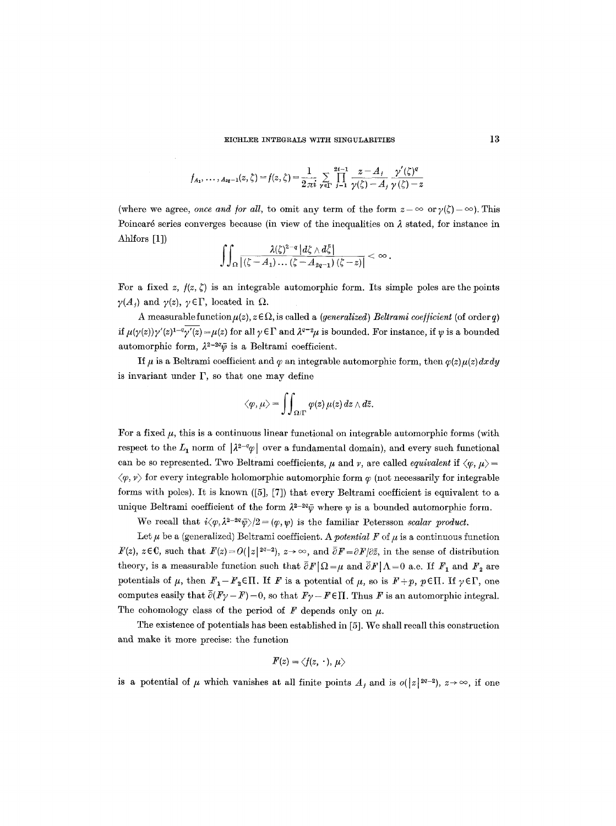$$
f_{A_1}, \ldots, f_{a_2-1}(z, \zeta) = f(z, \zeta) = \frac{1}{2\pi i} \sum_{\gamma \in \Gamma} \prod_{j=1}^{2i-1} \frac{z - A_j}{\gamma(\zeta) - A_j} \frac{\gamma'(\zeta)^q}{\gamma(\zeta) - z}
$$

(where we agree, *once and for all*, to omit any term of the form  $z = \infty$  or  $\gamma(\zeta) = \infty$ ). This Poincaré series converges because (in view of the inequalities on  $\lambda$  stated, for instance in Ahlfors [1])

$$
\iint_{\Omega} \frac{\lambda(\zeta)^{2-q} \, |d\zeta \wedge d\overline{\zeta}|}{\left|(\zeta - A_1) \ldots (\zeta - A_{2q-1}) \, (\zeta - z)\right|} < \infty.
$$

For a fixed z,  $f(z, \zeta)$  is an integrable automorphic form. Its simple poles are the points  $\gamma(A_i)$  and  $\gamma(z)$ ,  $\gamma \in \Gamma$ , located in  $\Omega$ .

A measurable function  $\mu(z)$ ,  $z \in \Omega$ , is called a *(generalized) Beltrami coefficient (of order q)* if  $\mu(\gamma(z))\gamma'(z)^{1-q}\gamma'(z) = \mu(z)$  for all  $\gamma \in \Gamma$  and  $\lambda^{q-2}\mu$  is bounded. For instance, if y is a bounded automorphic form,  $\lambda^{2-2q}\bar{\psi}$  is a Beltrami coefficient.

If  $\mu$  is a Beltrami coefficient and  $\varphi$  an integrable automorphic form, then  $\varphi(z)\mu(z)dxdy$ is invariant under  $\Gamma$ , so that one may define

$$
\big<\varphi,\mu\big>=\iint_{\Omega/\Gamma}\varphi(z)\,\mu(z)\,dz\wedge d\bar{z}.
$$

For a fixed  $\mu$ , this is a continuous linear functional on integrable automorphic forms (with respect to the  $L_1$  norm of  $\left|\frac{\lambda^{2-q}}{q}\right|$  over a fundamental domain), and every such functional can be so represented. Two Beltrami coefficients,  $\mu$  and  $\nu$ , are called *equivalent* if  $\langle \varphi, \mu \rangle =$  $\langle \varphi, \nu \rangle$  for every integrable holomorphic automorphic form  $\varphi$  (not necessarily for integrable forms with poles). It is known ([5], [7]) that every Beltrami coefficient is equivalent to a unique Beltrami coefficient of the form  $\lambda^{2-2q}\bar{\psi}$  where  $\psi$  is a bounded automorphic form.

We recall that  $i\langle \varphi, \lambda^{2-2q}\bar{\psi}\rangle/2 = (\varphi,\psi)$  is the familiar Petersson *scalar product*.

Let  $\mu$  be a (generalized) Beltrami coefficient. A *potential F* of  $\mu$  is a continuous function  $F(z)$ ,  $z \in \mathbb{C}$ , such that  $F(z) = O(|z|^{2q-2})$ ,  $z \to \infty$ , and  $\overline{\partial} F = \partial F/\partial \overline{z}$ , in the sense of distribution theory, is a measurable function such that  $\bar{\partial}F/\Omega=\mu$  and  $\bar{\partial}F/\Lambda=0$  a.e. If  $F_1$  and  $F_2$  are potentials of  $\mu$ , then  $F_1-F_2\in\Pi$ . If F is a potential of  $\mu$ , so is  $F+p$ ,  $p\in\Pi$ . If  $\gamma \in \Gamma$ , one computes easily that  $\bar{\partial}(F\gamma - F) = 0$ , so that  $F\gamma - F \in \Pi$ . Thus F is an automorphic integral. The cohomology class of the period of  $F$  depends only on  $\mu$ .

The existence of potentials has been established in [5]. We shall recall this construction and make it more precise: the function

$$
F(z)=\langle f(z,\,\cdot\,),\,\mu\rangle
$$

is a potential of  $\mu$  which vanishes at all finite points  $A_j$  and is  $o(|z|^{2q-2})$ ,  $z\rightarrow\infty$ , if one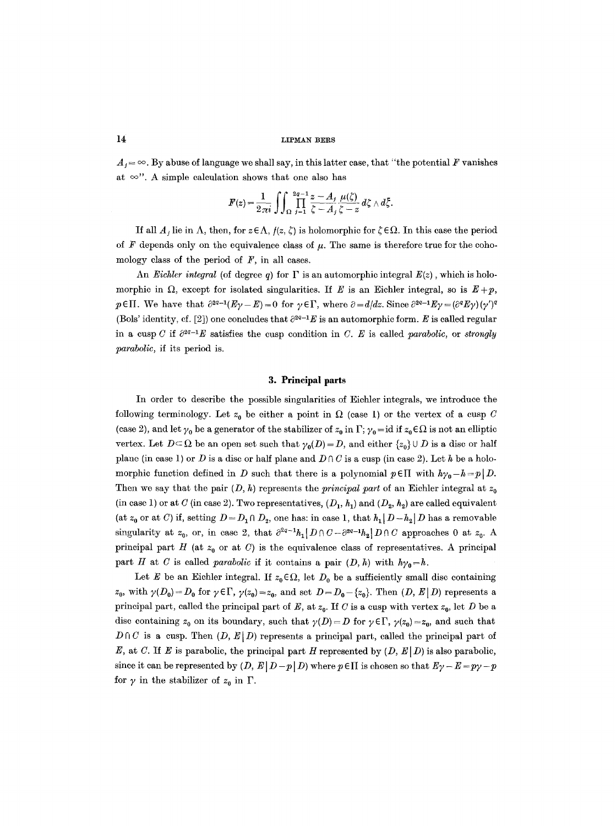$A_i = \infty$ . By abuse of language we shall say, in this latter case, that "the potential F vanishes" at  $\infty$ ". A simple calculation shows that one also has

$$
F(z) = \frac{1}{2\pi i} \iint_{\Omega} \prod_{j=1}^{2q-1} \frac{z-A_j}{\zeta-A_j} \frac{\mu(\zeta)}{\zeta-z} d\zeta \wedge d\bar{\zeta}.
$$

If all  $A_j$  lie in  $\Lambda$ , then, for  $z \in \Lambda$ ,  $f(z, \zeta)$  is holomorphic for  $\zeta \in \Omega$ . In this case the period of F depends only on the equivalence class of  $\mu$ . The same is therefore true for the cohomology class of the period of *F,* in all cases.

An *Eichler integral* (of degree q) for  $\Gamma$  is an automorphic integral  $E(z)$ , which is holomorphic in  $\Omega$ , except for isolated singularities. If E is an Eichler integral, so is  $E + p$ , p  $\epsilon$ II. We have that  $\partial^{2q-1}(E_{\gamma}-E) = 0$  for  $\gamma \in \Gamma$ , where  $\partial = d/dz$ . Since  $\partial^{2q-1}E_{\gamma} = (\partial^q E_{\gamma})(\gamma')^q$ (Bols' identity, cf. [2]) one concludes that  $\partial^{2q-1}E$  is an automorphic form. E is called regular in a cusp C if  $\partial^{2q-1}E$  satisfies the cusp condition in C. E is called *parabolic*, or *strongly parabolic,* if its period is.

## **3. Principal parts**

In order to describe the possible singularities of Eichler integrals, we introduce the following terminology. Let  $z_0$  be either a point in  $\Omega$  (case 1) or the vertex of a cusp C (case 2), and let  $\gamma_0$  be a generator of the stabilizer of  $z_0$  in  $\Gamma$ ;  $\gamma_0 = id$  if  $z_0 \in \Omega$  is not an elliptic vertex. Let  $D \subseteq \Omega$  be an open set such that  $\gamma_0(D) = D$ , and either  $\{z_0\} \cup D$  is a disc or half plane (in case 1) or D is a disc or half plane and  $D \cap C$  is a cusp (in case 2). Let h be a holomorphic function defined in D such that there is a polynomial  $p \in \Pi$  with  $h\gamma_0 - h = p/D$ . Then we say that the pair  $(D, h)$  represents the *principal part* of an Eichler integral at  $z_0$ (in case 1) or at C (in case 2). Two representatives,  $(D_1, h_1)$  and  $(D_2, h_2)$  are called equivalent (at  $z_0$  or at C) if, setting  $D = D_1 \cap D_2$ , one has: in case 1, that  $h_1 | D - h_2 | D$  has a removable singularity at  $z_0$ , or, in case 2, that  $\partial^{2q-1}h_1|D \cap C-\partial^{2q-1}h_2|D \cap C$  approaches 0 at  $z_0$ . A principal part H (at  $z_0$  or at C) is the equivalence class of representatives. A principal part H at C is called *parabolic* if it contains a pair  $(D, h)$  with  $h\gamma_0 = h$ .

Let E be an Eichler integral. If  $z_0 \in \Omega$ , let  $D_0$  be a sufficiently small disc containing  $z_0$ , with  $\gamma(D_0)=D_0$  for  $\gamma \in \Gamma$ ,  $\gamma(z_0)=z_0$ , and set  $D=D_0-\{z_0\}$ . Then  $(D, E|D)$  represents a principal part, called the principal part of E, at  $z_0$ . If C is a cusp with vertex  $z_0$ , let D be a disc containing  $z_0$  on its boundary, such that  $\gamma(D)=D$  for  $\gamma \in \Gamma$ ,  $\gamma(z_0)=z_0$ , and such that  $D \cap C$  is a cusp. Then  $(D, E | D)$  represents a principal part, called the principal part of E, at C. If E is parabolic, the principal part H represented by  $(D, E | D)$  is also parabolic, since it can be represented by  $(D, E | D-p | D)$  where  $p \in \Pi$  is chosen so that  $E \gamma - E = p\gamma - p$ for  $\gamma$  in the stabilizer of  $z_0$  in  $\Gamma$ .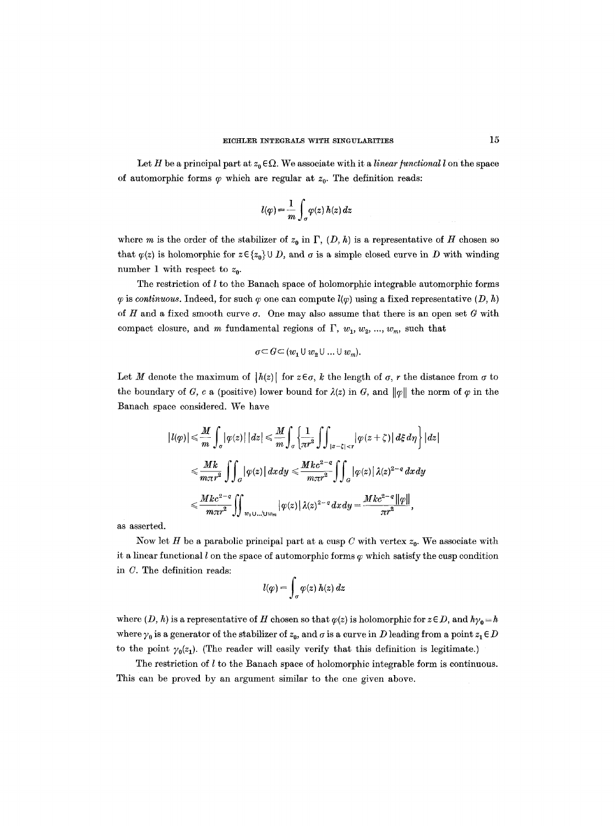Let H be a principal part at  $z_0 \in \Omega$ . We associate with it a *linear functional l* on the space of automorphic forms  $\varphi$  which are regular at  $z_0$ . The definition reads:

$$
l(\varphi) = \frac{1}{m} \int_{\sigma} \varphi(z) \, h(z) \, dz
$$

where m is the order of the stabilizer of  $z_0$  in  $\Gamma$ ,  $(D, h)$  is a representative of H chosen so that  $\varphi(z)$  is holomorphic for  $z \in \{z_0\} \cup D$ , and  $\sigma$  is a simple closed curve in D with winding number 1 with respect to  $z_0$ .

The restriction of  $l$  to the Banach space of holomorphic integrable automorphic forms  $\varphi$  is *continuous.* Indeed, for such  $\varphi$  one can compute  $l(\varphi)$  using a fixed representative  $(D, h)$ of H and a fixed smooth curve  $\sigma$ . One may also assume that there is an open set G with compact closure, and m fundamental regions of  $\Gamma$ ,  $w_1$ ,  $w_2$ , ...,  $w_m$ , such that

$$
\sigma \subseteq G \subseteq (w_1 \cup w_2 \cup \ldots \cup w_m).
$$

Let M denote the maximum of  $|h(z)|$  for  $z \in \sigma$ , k the length of  $\sigma$ , r the distance from  $\sigma$  to the boundary of G, c a (positive) lower bound for  $\lambda(z)$  in G, and  $\|\varphi\|$  the norm of  $\varphi$  in the Banach space considered. We have

$$
\begin{split} \left|l(\varphi)\right|&\leqslant \frac{M}{m}\int_{\sigma}\left|\varphi(z)\right|\left|dz\right|\leqslant \frac{M}{m}\int_{\sigma}\left\{\frac{1}{\pi r^2}\int\int_{\left|z-\zeta\right|
$$

as asserted.

Now let H be a parabolic principal part at a cusp C with vertex  $z_0$ . We associate with it a linear functional  $l$  on the space of automorphic forms  $\varphi$  which satisfy the cusp condition in C. The definition reads:

$$
l(\varphi) = \int_{\sigma} \varphi(z) h(z) dz
$$

where  $(D, h)$  is a representative of H chosen so that  $\varphi(z)$  is holomorphic for  $z \in D$ , and  $h\gamma_0 = h$ where  $\gamma_0$  is a generator of the stabilizer of  $z_0$ , and  $\sigma$  is a curve in D leading from a point  $z_1 \in D$ to the point  $\gamma_0(z_1)$ . (The reader will easily verify that this definition is legitimate.)

The restriction of  $l$  to the Banach space of holomorphic integrable form is continuous. This can be proved by an argument similar to the one given above.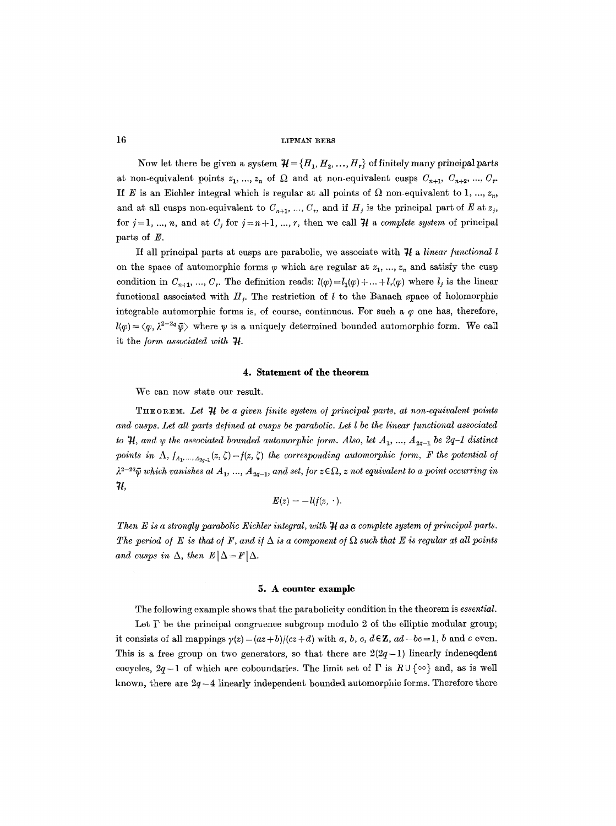Now let there be given a system  $\mathcal{H} = \{H_1, H_2, ..., H_r\}$  of finitely many principal parts at non-equivalent points  $z_1, ..., z_n$  of  $\Omega$  and at non-equivalent cusps  $C_{n+1}, C_{n+2}, ..., C_r$ . If E is an Eichler integral which is regular at all points of  $\Omega$  non-equivalent to 1, ...,  $z_n$ , and at all cusps non-equivalent to  $C_{n+1}, ..., C_n$ , and if  $H_j$  is the principal part of E at  $z_j$ , for  $j=1, ..., n$ , and at  $C_j$  for  $j=n+1, ..., r$ , then we call  $\mathcal H$  a *complete system* of principal parts of E.

If all principal parts at cusps are parabolic, we associate with  $\mathcal{H}$  a *linear functional l* on the space of automorphic forms  $\varphi$  which are regular at  $z_1, ..., z_n$  and satisfy the cusp condition in  $C_{n+1}$ , ...,  $C_r$ . The definition reads:  $l(\varphi) = l_1(\varphi) + ... + l_r(\varphi)$  where  $l_j$  is the linear functional associated with  $H_i$ . The restriction of l to the Banach space of holomorphic integrable automorphic forms is, of course, continuous. For such a  $\varphi$  one has, therefore,  $l(\varphi) = \langle \varphi, \lambda^{2-2q}\bar{\psi} \rangle$  where  $\psi$  is a uniquely determined bounded automorphic form. We call it the *form associated with*  $\boldsymbol{\mathcal{H}}$ .

## **4. Statement of the theorem**

We can now state our result.

THEOREM. Let  $\mathcal{H}$  be a given finite system of principal parts, at non-equivalent points and cusps. Let all parts defined at cusps be parabolic. Let l be the linear functional associated *to*  $H$ *, and*  $\psi$  *the associated bounded automorphic form. Also, let*  $A_1$ *, ...,*  $A_{2q-1}$  *be 2q-1 distinct* points in  $\Lambda$ ,  $f_{A_1,\dots, A_{2q-1}}(z, \zeta) = f(z, \zeta)$  the corresponding automorphic form, F the potential of  $\lambda^{2-2q}\bar{\psi}$  which vanishes at  $A_1, ..., A_{2q-1}$ , and set, for  $z \in \Omega$ , z not equivalent to a point occurring in *74,* 

$$
E(z) = -l(f(z, \cdot).
$$

*Then E is a strongly parabolic Eichler integral, with*  $\mathcal{H}$  *as a complete system of principal parts.* The period of E is that of F, and if  $\Delta$  is a component of  $\Omega$  such that E is regular at all points *and cusps in*  $\Delta$ , *then*  $E|\Delta = F|\Delta$ .

#### **5. A counter example**

The following example shows that the parabolicity condition in the theorem is *essential.* 

Let  $\Gamma$  be the principal congruence subgroup modulo 2 of the elliptic modular group; it consists of all mappings  $\gamma(z) = (az + b)/(cz + d)$  with a, b, c,  $d \in \mathbb{Z}$ ,  $ad - bc = 1$ , b and c even. This is a free group on two generators, so that there are  $2(2q-1)$  linearly indeneddent cocycles,  $2q-1$  of which are coboundaries. The limit set of  $\Gamma$  is  $R \cup \{\infty\}$  and, as is well known, there are  $2q - 4$  linearly independent bounded automorphic forms. Therefore there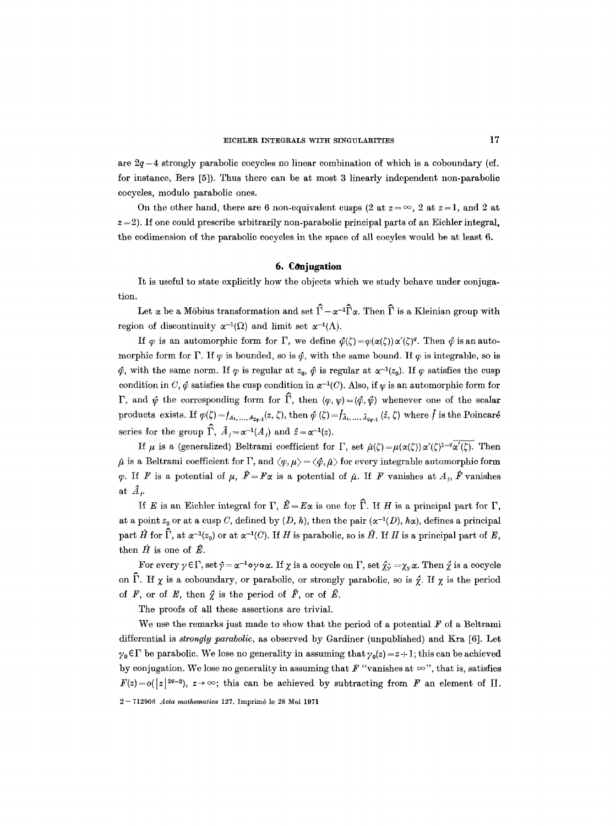are  $2q-4$  strongly parabolic cocycles no linear combination of which is a coboundary (cf. for instance, Bers [5]). Thus there can be at most 3 linearly independent non-parabolic eoeyeles, modulo parabolic ones.

On the other hand, there are 6 non-equivalent cusps (2 at  $z = \infty$ , 2 at  $z = 1$ , and 2 at  $z = 2$ ). If one could prescribe arbitrarily non-parabolic principal parts of an Eichler integral, the codimension of the parabolic eocycles in the space of all eoeyles would be at least 6.

## **6. COnjugation**

It is useful to state explicitly how the objects which we study behave under conjugation.

Let  $\alpha$  be a Möbius transformation and set  $\hat{\Gamma} = \alpha^{-1} \hat{\Gamma} \alpha$ . Then  $\hat{\Gamma}$  is a Kleinian group with region of discontinuity  $\alpha^{-1}(\Omega)$  and limit set  $\alpha^{-1}(\Lambda)$ .

If  $\varphi$  is an automorphic form for  $\Gamma$ , we define  $\varphi(\zeta)=\varphi(\alpha(\zeta))\alpha'(\zeta)^q$ . Then  $\hat{\varphi}$  is an automorphic form for  $\Gamma$ . If  $\varphi$  is bounded, so is  $\hat{\varphi}$ , with the same bound. If  $\varphi$  is integrable, so is  $\phi$ , with the same norm. If  $\varphi$  is regular at  $z_0$ ,  $\phi$  is regular at  $\alpha^{-1}(z_0)$ . If  $\varphi$  satisfies the cusp condition in C,  $\phi$  satisfies the cusp condition in  $\alpha^{-1}(C)$ . Also, if  $\psi$  is an automorphic form for  $\Gamma$ , and  $\hat{\psi}$  the corresponding form for  $\hat{\Gamma}$ , then  $(\varphi, \psi) = (\hat{\varphi}, \hat{\psi})$  whenever one of the scalar products exists. If  $\varphi(\zeta) = f_{A_1,..., A_{2q-1}}(z, \zeta)$ , then  $\hat{\varphi}(\zeta) = \hat{f}_{A_1,..., A_{2q-1}}(\hat{z}, \zeta)$  where  $\hat{f}$  is the Poincaré series for the group  $\widehat{\Gamma}$ ,  $\widehat{A}_i = \alpha^{-1}(A_i)$  and  $\widehat{z} = \alpha^{-1}(z)$ .

If  $\mu$  is a (generalized) Beltrami coefficient for  $\Gamma$ , set  $\hat{\mu}(\zeta) = \mu(\alpha(\zeta)) \alpha'(\zeta)^{1-q} \alpha'(\zeta)$ . Then  $\hat{\mu}$  is a Beltrami coefficient for  $\Gamma$ , and  $\langle \varphi, \mu \rangle = \langle \hat{\varphi}, \hat{\mu} \rangle$  for every integrable automorphic form  $\varphi$ . If F is a potential of  $\mu$ ,  $\hat{F} = F\alpha$  is a potential of  $\hat{\mu}$ . If F vanishes at  $A_i$ ,  $\hat{F}$  vanishes at  $\hat{A}_i$ .

If E is an Eichler integral for  $\Gamma$ ,  $\hat{E} = E\alpha$  is one for  $\hat{\Gamma}$ . If H is a principal part for  $\Gamma$ , at a point  $z_0$  or at a cusp C, defined by  $(D, h)$ , then the pair  $(\alpha^{-1}(D), h\alpha)$ , defines a principal part  $\hat{H}$  for  $\hat{\Gamma}$ , at  $\alpha^{-1}(z_0)$  or at  $\alpha^{-1}(C)$ . If H is parabolic, so is  $\hat{H}$ . If H is a principal part of E, then  $\hat{H}$  is one of  $\hat{E}$ .

For every  $\gamma \in \Gamma$ , set  $\hat{\gamma} = \alpha^{-1} \circ \gamma \circ \alpha$ . If  $\chi$  is a cocycle on  $\Gamma$ , set  $\hat{\chi}$  =  $\chi_{\nu} \alpha$ . Then  $\hat{\chi}$  is a cocycle on  $\hat{\Gamma}$ . If  $\chi$  is a coboundary, or parabolic, or strongly parabolic, so is  $\hat{\chi}$ . If  $\chi$  is the period of F, or of E, then  $\hat{\chi}$  is the period of  $\hat{F}$ , or of  $\hat{E}$ .

The proofs of all these assertions are trivial.

We use the remarks just made to show that the period of a potential  $F$  of a Beltrami differential is *strongly parabolic,* as observed by Gardiner (unpublished) and Kra [6]. Let  $\gamma_0 \in \Gamma$  be parabolic. We lose no generality in assuming that  $\gamma_0(z) = z + 1$ ; this can be achieved by conjugation. We lose no generality in assuming that  $F$  "vanishes at  $\infty$ ", that is, satisfies  $F(z)=o(|z|^{2a-2}), z\rightarrow\infty;$  this can be achieved by subtracting from F an element of II. 2 -- 712906 *Acta mathematica* 127. Imprim6 le 28 Mai 1971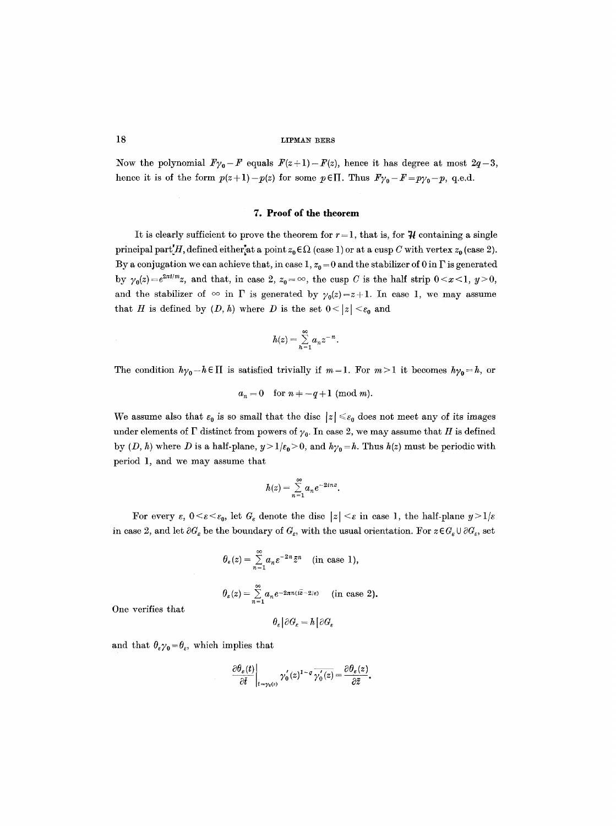Now the polynomial  $F_{\gamma_0}-F$  equals  $F(z+1)-F(z)$ , hence it has degree at most  $2q-3$ , hence it is of the form  $p(z+1)-p(z)$  for some  $p \in \Pi$ . Thus  $F\gamma_0-F=p\gamma_0-p$ , q.e.d.

#### **7. Proof of the theorem**

It is clearly sufficient to prove the theorem for  $r = 1$ , that is, for  $\mathcal{H}$  containing a single principal part $H$ , defined either<sup>at</sup> a point  $z_0 \in \Omega$  (case 1) or at a cusp C with vertex  $z_0$  (case 2). By a conjugation we can achieve that, in case 1,  $z_0 = 0$  and the stabilizer of 0 in  $\Gamma$  is generated by  $\gamma_0(z)=e^{2\pi i/m}z$ , and that, in case 2,  $z_0=\infty$ , the cusp C is the half strip  $0\leq x\leq 1$ ,  $y\geq 0$ , and the stabilizer of  $\infty$  in  $\Gamma$  is generated by  $\gamma_0(z)=z+1$ . In case 1, we may assume that H is defined by  $(D, h)$  where D is the set  $0 < |z| < \varepsilon_0$  and

$$
h(z)=\sum_{n=1}^{\infty}a_nz^{-n}.
$$

The condition  $h\gamma_0-h\in\Pi$  is satisfied trivially if  $m=1$ . For  $m>1$  it becomes  $h\gamma_0=h$ , or

 $a_n=0$  for  $n=-q+1$  (mod m).

We assume also that  $\varepsilon_0$  is so small that the disc  $|z| \leq \varepsilon_0$  does not meet any of its images under elements of  $\Gamma$  distinct from powers of  $\gamma_0$ . In case 2, we may assume that H is defined by  $(D, h)$  where D is a half-plane,  $y > 1/\varepsilon_0 > 0$ , and  $h\gamma_0 = h$ . Thus  $h(z)$  must be periodic with period 1, and we may assume that

$$
h(z) = \sum_{n=1}^{\infty} a_n e^{-2inz}.
$$

For every  $\varepsilon$ ,  $0 \leq \varepsilon \leq \varepsilon_0$ , let  $G_{\varepsilon}$  denote the disc  $|z| \leq \varepsilon$  in case 1, the half-plane  $y>1/\varepsilon$ in case 2, and let  $\partial G_{\varepsilon}$  be the boundary of  $G_{\varepsilon}$ , with the usual orientation. For  $z \in G_{\varepsilon} \cup \partial G_{\varepsilon}$ , set

$$
\theta_{\varepsilon}(z) = \sum_{n=1}^{\infty} a_n \varepsilon^{-2n} \bar{z}^n \quad \text{(in case 1)},
$$
  

$$
\theta_{\varepsilon}(z) = \sum_{n=1}^{\infty} a_n e^{-2n\pi(\bar{z}-2/\varepsilon)} \quad \text{(in case 2)}.
$$

One verifies that

$$
\theta_{\varepsilon}|\partial G_{\varepsilon}=h|\partial G_{\varepsilon}
$$

and that  $\theta_{\varepsilon} \gamma_0 = \theta_{\varepsilon}$ , which implies that

$$
\left.\frac{\partial \theta_{\varepsilon}(t)}{\partial \bar{t}}\right|_{t=\gamma_0(z)} \gamma_0'(z)^{1-q} \overline{\gamma_0'(z)} = \frac{\partial \theta_{\varepsilon}(z)}{\partial \bar{z}}.
$$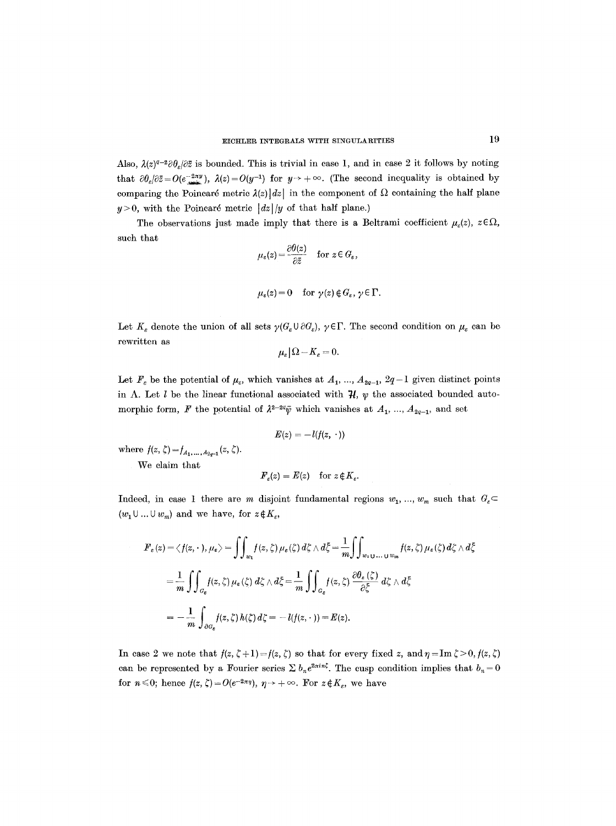Also,  $\lambda(z)^{q-2}\partial\theta_z/\partial\bar{z}$  is bounded. This is trivial in case 1, and in case 2 it follows by noting that  $\partial \theta_s / \partial \bar{z} = O(e^{-2\pi y}), \ \lambda(z) = O(y^{-1})$  for  $y \to +\infty$ . (The second inequality is obtained by comparing the Poincaré metric  $\lambda(z)|dz|$  in the component of  $\Omega$  containing the half plane  $y > 0$ , with the Poincaré metric  $|dz|/y$  of that half plane.)

The observations just made imply that there is a Beltrami coefficient  $\mu_{\varepsilon}(z), z \in \Omega$ , such that

$$
\mu_{\varepsilon}(z) = \frac{\partial \theta(z)}{\partial \bar{z}} \quad \text{for } z \in G_{\varepsilon},
$$

$$
\mu_{\varepsilon}(z) = 0
$$
 for  $\gamma(z) \notin G_{\varepsilon}, \gamma \in \Gamma$ .

Let  $K_{\varepsilon}$  denote the union of all sets  $\gamma(G_{\varepsilon} \cup \partial G_{\varepsilon}), \gamma \in \Gamma$ . The second condition on  $\mu_{\varepsilon}$  can be rewritten as

$$
\mu_{\varepsilon}|\Omega - K_{\varepsilon} = 0.
$$

Let  $F_{\varepsilon}$  be the potential of  $\mu_{\varepsilon}$ , which vanishes at  $A_1, ..., A_{2q-1}$ ,  $2q-1$  given distinct points in  $\Lambda$ . Let *l* be the linear functional associated with  $\mathcal{H}$ ,  $\psi$  the associated bounded automorphic form, F the potential of  $\lambda^{2-2q}\bar{\psi}$  which vanishes at  $A_1$ , ...,  $A_{2q-1}$ , and set

$$
E(z) = -l(f(z, \cdot))
$$

where  $f(z, \zeta) = f_{A_1, ..., A_{2q-1}}(z, \zeta)$ .

We claim that

$$
\pmb{F}_\varepsilon(z) = \pmb{E}(z) \quad \text{for } z \in K_\varepsilon.
$$

Indeed, in case 1 there are m disjoint fundamental regions  $w_1, ..., w_m$  such that  $G_c$  $(w_1 \cup ... \cup w_m)$  and we have, for  $z \notin K_{\varepsilon}$ ,

$$
F_{\varepsilon}(z) = \langle f(z, \cdot), \mu_{\varepsilon} \rangle = \iint_{w_1} f(z, \zeta) \mu_{\varepsilon}(\zeta) d\zeta \wedge d\bar{\zeta} = \frac{1}{m} \iint_{w_1 \cup \dots \cup w_m} f(z, \zeta) \mu_{\varepsilon}(\zeta) d\zeta \wedge d\bar{\zeta}
$$
  
= 
$$
\frac{1}{m} \iint_{G_{\varepsilon}} f(z, \zeta) \mu_{\varepsilon}(\zeta) d\zeta \wedge d\bar{\zeta} = \frac{1}{m} \iint_{G_{\varepsilon}} f(z, \zeta) \frac{\partial \theta_{\varepsilon}(\zeta)}{\partial \bar{\zeta}} d\zeta \wedge d\bar{\zeta}
$$
  
= 
$$
-\frac{1}{m} \int_{\partial G_{\varepsilon}} f(z, \zeta) h(\zeta) d\zeta = -l(f(z, \cdot)) = E(z).
$$

In case 2 we note that  $f(z, \zeta + 1) = f(z, \zeta)$  so that for every fixed z, and  $\eta = \text{Im } \zeta > 0, f(z, \zeta)$ can be represented by a Fourier series  $\sum b_n e^{2\pi i n \zeta}$ . The cusp condition implies that  $b_n = 0$ for  $n \le 0$ ; hence  $f(z, \zeta) = O(e^{-2\pi\eta}), \eta \to +\infty$ . For  $z \notin K_{\varepsilon}$ , we have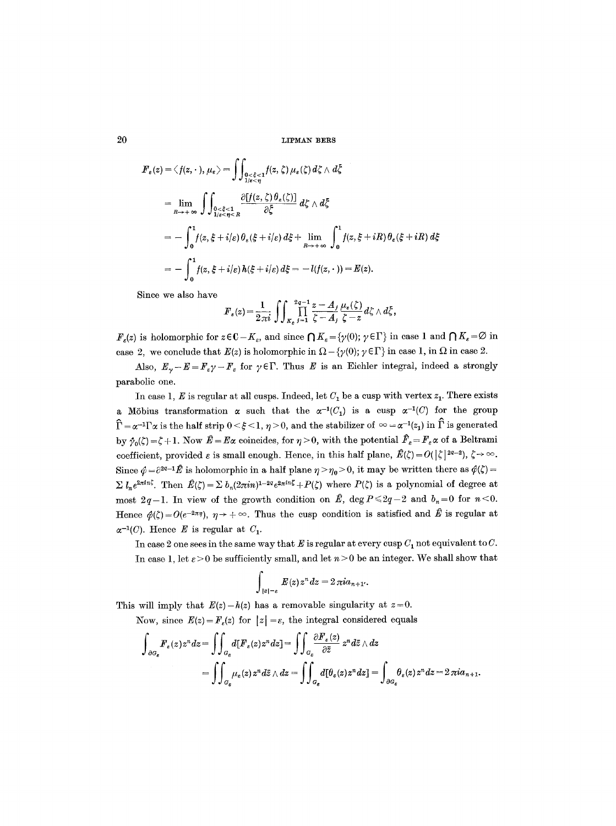$$
F_{\varepsilon}(z) = \langle f(z, \cdot), \mu_{\varepsilon} \rangle = \int \int_{\substack{0 < \xi < 1 \\ 1/\varepsilon < \eta}} f(z, \zeta) \mu_{\varepsilon}(\zeta) d\zeta \wedge d\zeta
$$
\n
$$
= \lim_{R \to +\infty} \int \int_{\substack{0 < \xi < 1 \\ 1/\varepsilon < \eta < R}} \frac{\partial [f(z, \zeta) \theta_{\varepsilon}(\zeta)]}{\partial \zeta} d\zeta \wedge d\zeta
$$
\n
$$
= -\int_{0}^{1} f(z, \xi + i/\varepsilon) \theta_{\varepsilon}(\xi + i/\varepsilon) d\xi + \lim_{R \to +\infty} \int_{0}^{1} f(z, \xi + iR) \theta_{\varepsilon}(\xi + iR) d\xi
$$
\n
$$
= -\int_{0}^{1} f(z, \xi + i/\varepsilon) h(\xi + i/\varepsilon) d\xi = -l(f(z, \cdot)) = E(z).
$$

Since we also have

$$
F_{\varepsilon}(z) = \frac{1}{2\pi i} \iint_{K_{\varepsilon}} \prod_{j=1}^{2q-1} \frac{z - A_j}{\zeta - A_j} \frac{\mu_{\varepsilon}(\zeta)}{\zeta - z} d\zeta \wedge d\overline{\zeta},
$$

 $F_{\epsilon}(z)$  is holomorphic for  $z \in \mathbb{C}-K_{\epsilon}$ , and since  $\bigcap K_{\epsilon} = \{\gamma(0); \gamma \in \Gamma\}$  in case 1 and  $\bigcap K_{\epsilon} = \emptyset$  in case 2, we conclude that  $E(z)$  is holomorphic in  $\Omega - \{\gamma(0); \gamma \in \Gamma\}$  in case 1, in  $\Omega$  in case 2.

Also,  $E_{\gamma}-E=F_{\epsilon}\gamma-F_{\epsilon}$  for  $\gamma\in\Gamma$ . Thus E is an Eichler integral, indeed a strongly parabolic one.

In case 1, E is regular at all cusps. Indeed, let  $C_1$  be a cusp with vertex  $z_1$ . There exists a Möbius transformation  $\alpha$  such that the  $\alpha^{-1}(C_1)$  is a cusp  $\alpha^{-1}(C)$  for the group  $\hat{\Gamma} = \alpha^{-1}\Gamma\alpha$  is the half strip  $0 \leq \xi \leq 1$ ,  $\eta > 0$ , and the stabilizer of  $\infty = \alpha^{-1}(z_1)$  in  $\hat{\Gamma}$  is generated by  $\hat{\gamma}_0(\zeta) = \zeta + 1$ . Now  $\hat{E} = E\alpha$  coincides, for  $\eta > 0$ , with the potential  $\hat{F}_\varepsilon = F_\varepsilon \alpha$  of a Beltrami coefficient, provided  $\varepsilon$  is small enough. Hence, in this half plane,  $\hat{E}(\zeta) = O(|\zeta|^{2a-2}), \zeta \to \infty$ . Since  $\hat{\varphi} = \partial^{2q-1} \hat{E}$  is holomorphic in a half plane  $\eta > \eta_0 > 0$ , it may be written there as  $\hat{\varphi}(\zeta) =$  $\sum l_n e^{2\pi i n \zeta}$ . Then  $\hat{E}(\zeta) = \sum b_n (2\pi i n)^{1-2q} e^{2\pi i n \zeta} + P(\zeta)$  where  $P(\zeta)$  is a polynomial of degree at most  $2q-1$ . In view of the growth condition on  $\hat{E}$ , deg  $P \le 2q-2$  and  $b_n = 0$  for  $n \le 0$ . Hence  $\phi(\zeta)=O(e^{-2\pi\eta})$ ,  $\eta \to +\infty$ . Thus the cusp condition is satisfied and  $\hat{E}$  is regular at  $\alpha^{-1}(C)$ . Hence E is regular at  $C_1$ .

In case 2 one sees in the same way that E is regular at every cusp  $C_1$  not equivalent to C. In case 1, let  $\varepsilon > 0$  be sufficiently small, and let  $n > 0$  be an integer. We shall show that

$$
\int_{|z|=\varepsilon} E(z) z^n dz = 2 \pi i a_{n+1}.
$$

This will imply that  $E(z)-h(z)$  has a removable singularity at  $z=0$ .

Now, since  $E(z) = F<sub>\epsilon</sub>(z)$  for  $|z| = \epsilon$ , the integral considered equals

$$
\int_{\partial G_{\varepsilon}} F_{\varepsilon}(z) z^{n} dz = \iint_{G_{\varepsilon}} d[F_{\varepsilon}(z) z^{n} dz] = \iint_{G_{\varepsilon}} \frac{\partial F_{\varepsilon}(z)}{\partial \overline{z}} z^{n} d\overline{z} \wedge dz
$$
  
= 
$$
\iint_{G_{\varepsilon}} \mu_{\varepsilon}(z) z^{n} d\overline{z} \wedge dz = \iint_{G_{\varepsilon}} d[\theta_{\varepsilon}(z) z^{n} dz] = \int_{\partial G_{\varepsilon}} \theta_{\varepsilon}(z) z^{n} dz = 2 \pi i a_{n+1}.
$$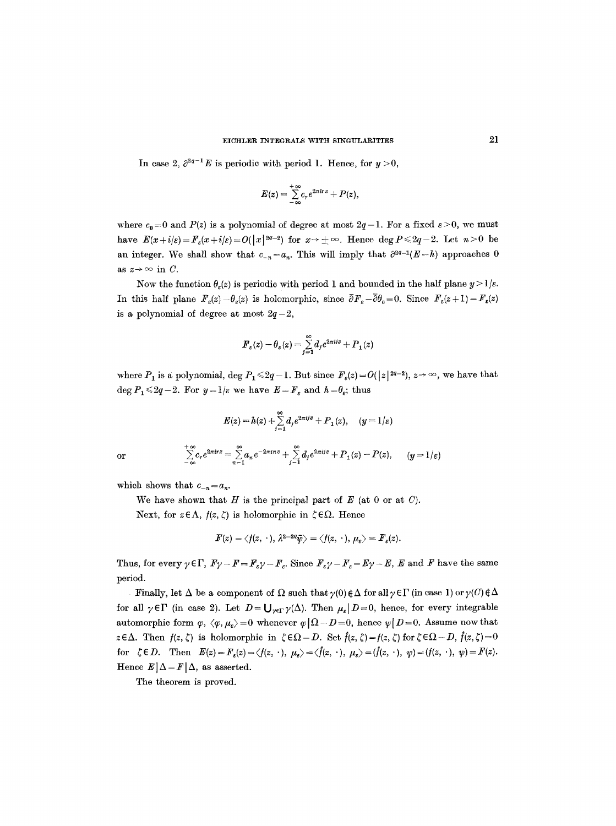In case 2,  $\partial^{2q-1}E$  is periodic with period 1. Hence, for  $y > 0$ ,

$$
E(z) = \sum_{-\infty}^{+\infty} c_r e^{2\pi i r z} + P(z),
$$

where  $c_0 = 0$  and  $P(z)$  is a polynomial of degree at most  $2q-1$ . For a fixed  $\varepsilon > 0$ , we must have  $E(x+i|\varepsilon) = F_{\varepsilon}(x+i|\varepsilon) = O(|x|^{2q-2})$  for  $x \to \pm \infty$ . Hence deg  $P \leq 2q-2$ . Let  $n > 0$  be an integer. We shall show that  $c_{-n} = a_n$ . This will imply that  $\partial^{2q-1}(E-h)$  approaches 0 as  $z \rightarrow \infty$  in C.

Now the function  $\theta_{\epsilon}(z)$  is periodic with period 1 and bounded in the half plane  $y > 1/\epsilon$ . In this half plane  $F_{\varepsilon}(z)-\theta_{\varepsilon}(z)$  is holomorphie, since  $\bar{\partial}F_{\varepsilon}-\bar{\partial}\theta_{\varepsilon}=0$ . Since  $F_{\varepsilon}(z+1)-F_{\varepsilon}(z)$ is a polynomial of degree at most  $2q-2$ ,

$$
\boldsymbol{F}_{\varepsilon}(z)-\theta_{\varepsilon}(z)=\sum_{j=1}^{\infty}d_{j}e^{2\pi i j z}+P_{1}(z)
$$

where  $P_1$  is a polynomial, deg  $P_1 \leq 2q-1$ . But since  $F_{\varepsilon}(z) = O(|z|^{2q-2})$ ,  $z \to \infty$ , we have that deg  $P_1 \leq 2q-2$ . For  $y=1/\varepsilon$  we have  $E=F_\varepsilon$  and  $h=\theta_\varepsilon$ ; thus

$$
E(z) = h(z) + \sum_{j=1}^{\infty} d_j e^{2\pi i j z} + P_1(z), \quad (y = 1/\varepsilon)
$$
  
or 
$$
\sum_{-\infty}^{+\infty} c_r e^{2\pi i r z} = \sum_{n=1}^{\infty} a_n e^{-2\pi i n z} + \sum_{j=1}^{\infty} d_j e^{2\pi i j z} + P_1(z) - P(z), \quad (y = 1/\varepsilon)
$$

which shows that  $c_{-n} = a_n$ .

We have shown that  $H$  is the principal part of  $E$  (at 0 or at  $C$ ).

Next, for  $z \in \Lambda$ ,  $f(z, \zeta)$  is holomorphic in  $\zeta \in \Omega$ . Hence

$$
F(z)=\left\langle f(z,\ \cdot\ ),\, \lambda^{2-2q}\bar{\psi}\right\rangle=\left\langle f(z,\ \cdot\ ),\, \mu_{\varepsilon}\right\rangle=F_{\varepsilon}(z).
$$

Thus, for every  $\gamma \in \Gamma$ ,  $F\gamma - F = F_s \gamma - F_s$ . Since  $F_s \gamma - F_s = E \gamma - E$ , E and F have the same period.

Finally, let  $\Delta$  be a component of  $\Omega$  such that  $\gamma(0) \notin \Delta$  for all  $\gamma \in \Gamma$  (in case 1) or  $\gamma(C) \notin \Delta$ for all  $\gamma \in \Gamma$  (in case 2). Let  $D = \bigcup_{\gamma \in \Gamma} \gamma(\Delta)$ . Then  $\mu_{\varepsilon} | D = 0$ , hence, for every integrable automorphic form  $\varphi$ ,  $\langle \varphi, \mu_{\varepsilon} \rangle = 0$  whenever  $\varphi | \Omega - D = 0$ , hence  $\psi | D = 0$ . Assume now that  $z \in \Delta$ . Then  $f(z, \zeta)$  is holomorphic in  $\zeta \in \Omega - D$ . Set  $\hat{f}(z, \zeta) = f(z, \zeta)$  for  $\zeta \in \Omega - D$ ,  $\hat{f}(z, \zeta) = 0$ for  $\zeta \in D$ . Then  $E(z) = F_{\zeta}(z) = \langle f(z, \cdot), \mu_{\zeta} \rangle = \langle \hat{f}(z, \cdot), \mu_{\zeta} \rangle = (\hat{f}(z, \cdot), \psi) = (f(z, \cdot), \psi) = F(z)$ . Hence  $E|\Delta = F|\Delta$ , as asserted.

The theorem is proved.